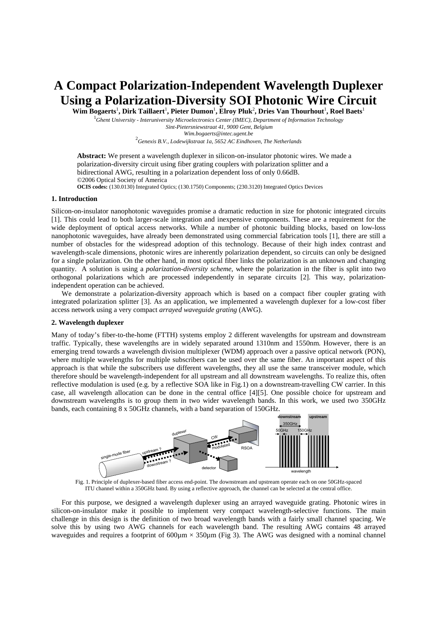# **A Compact Polarization-Independent Wavelength Duplexer Using a Polarization-Diversity SOI Photonic Wire Circuit**

 $\bf{Wim}$  Bogaerts<sup>1</sup>, Dirk Taillaert<sup>1</sup>, Pieter Dumon<sup>1</sup>, Elroy Pluk<sup>2</sup>, Dries Van Thourhout<sup>1</sup>, Roel Baets<sup>1</sup>

1 *Ghent University - Interuniversity Microelectronics Center (IMEC), Department of Information Technology Sint-Pietersniewstraat 41, 9000 Gent, Belgium Wim.bogaerts@intec.ugent.be* <sup>2</sup> *Genexis B.V., Lodewijkstraat 1a, 5652 AC Eindhoven, The Netherlands* 

**Abstract:** We present a wavelength duplexer in silicon-on-insulator photonic wires. We made a polarization-diversity circuit using fiber grating couplers with polarization splitter and a bidirectional AWG, resulting in a polarization dependent loss of only 0.66dB. ©2006 Optical Society of America **OCIS codes:** (130.0130) Integrated Optics; (130.1750) Components; (230.3120) Integrated Optics Devices

# **1. Introduction**

Silicon-on-insulator nanophotonic waveguides promise a dramatic reduction in size for photonic integrated circuits [1]. This could lead to both larger-scale integration and inexpensive components. These are a requirement for the wide deployment of optical access networks. While a number of photonic building blocks, based on low-loss nanophotonic waveguides, have already been demonstrated using commercial fabrication tools [1], there are still a number of obstacles for the widespread adoption of this technology. Because of their high index contrast and wavelength-scale dimensions, photonic wires are inherently polarization dependent, so circuits can only be designed for a single polarization. On the other hand, in most optical fiber links the polarization is an unknown and changing quantity. A solution is using a *polarization-diversity scheme*, where the polarization in the fiber is split into two orthogonal polarizations which are processed independently in separate circuits [2]. This way, polarizationindependent operation can be achieved.

We demonstrate a polarization-diversity approach which is based on a compact fiber coupler grating with integrated polarization splitter [3]. As an application, we implemented a wavelength duplexer for a low-cost fiber access network using a very compact *arrayed waveguide grating* (AWG).

## **2. Wavelength duplexer**

Many of today's fiber-to-the-home (FTTH) systems employ 2 different wavelengths for upstream and downstream traffic. Typically, these wavelengths are in widely separated around 1310nm and 1550nm. However, there is an emerging trend towards a wavelength division multiplexer (WDM) approach over a passive optical network (PON), where multiple wavelengths for multiple subscribers can be used over the same fiber. An important aspect of this approach is that while the subscribers use different wavelengths, they all use the same transceiver module, which therefore should be wavelength-independent for all upstream and all downstream wavelengths. To realize this, often reflective modulation is used (e.g. by a reflective SOA like in Fig.1) on a downstream-travelling CW carrier. In this case, all wavelength allocation can be done in the central office [4][5]. One possible choice for upstream and downstream wavelengths is to group them in two wider wavelength bands. In this work, we used two 350GHz bands, each containing 8 x 50GHz channels, with a band separation of 150GHz.



Fig. 1. Principle of duplexer-based fiber access end-point. The downstream and upstream operate each on one 50GHz-spaced ITU channel within a 350GHz band. By using a reflective approach, the channel can be selected at the central office.

For this purpose, we designed a wavelength duplexer using an arrayed waveguide grating. Photonic wires in silicon-on-insulator make it possible to implement very compact wavelength-selective functions. The main challenge in this design is the definition of two broad wavelength bands with a fairly small channel spacing. We solve this by using two AWG channels for each wavelength band. The resulting AWG contains 48 arrayed waveguides and requires a footprint of  $600 \mu m \times 350 \mu m$  (Fig 3). The AWG was designed with a nominal channel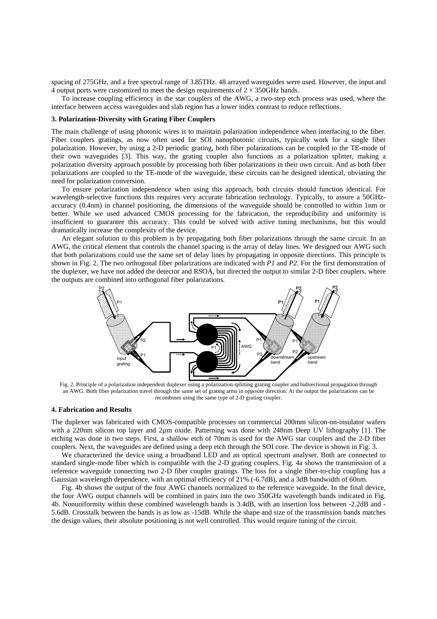spacing of 275GHz, and a free spectral range of 3.85THz. 48 arrayed waveguides were used. However, the input and 4 output ports were customized to meet the design requirements of  $2 \times 350 \text{GHz}$  bands.

To increase coupling efficiency in the star couplers of the AWG, a two-step etch process was used, where the interface between access waveguides and slab region has a lower index contrast to reduce reflections.

#### **3. Polarization-Diversity with Grating Fiber Couplers**

The main challenge of using photonic wires is to maintain polarization independence when interfacing to the fiber. Fiber couplers gratings, as now often used for SOI nanophotonic circuits, typically work for a single fiber polarization. However, by using a 2-D periodic grating, both fiber polarizations can be coupled to the TE-mode of their own waveguides [3]. This way, the grating coupler also functions as a polarization splitter, making a polarization diversity approach possible by processing both fiber polarizations in their own circuit. And as both fiber polarizations are coupled to the TE-mode of the waveguide, these circuits can be designed identical, obviating the need for polarization conversion.

To ensure polarization independence when using this approach, both circuits should function identical. For wavelength-selective functions this requires very accurate fabrication technology. Typically, to assure a 50GHzaccuracy (0.4nm) in channel positioning, the dimensions of the waveguide should be controlled to within 1nm or better. While we used advanced CMOS processing for the fabrication, the reproducibility and uniformity is insufficient to guarantee this accuracy. This could be solved with active tuning mechanisms, but this would dramatically increase the complexity of the device.

An elegant solution to this problem is by propagating both fiber polarizations through the same circuit. In an AWG, the critical element that controls the channel spacing is the array of delay lines. We designed our AWG such that both polarizations could use the same set of delay lines by propagating in opposite directions. This principle is shown in Fig. 2. The two orthogonal fiber polarizations are indicated with *P1* and *P2*. For the first demonstration of the duplexer, we have not added the detector and RSOA, but directed the output to similar 2-D fiber couplers, where the outputs are combined into orthogonal fiber polarizations.



Fig. 2. Principle of a polarization independent duplexer using a polarization splitting grating coupler and bidirectional propagation through an AWG. Both fiber polarization travel through the same set of grating arms in opposite direction. At the output the polarizations can be recombines using the same type of 2-D grating coupler.

### **4. Fabrication and Results**

The duplexer was fabricated with CMOS-compatible processes on commercial 200mm silicon-on-insulator wafers with a 220nm silicon top layer and 2µm oxide. Patterning was done with 248nm Deep UV lithography [1]. The etching was done in two steps. First, a shallow etch of 70nm is used for the AWG star couplers and the 2-D fiber couplers. Next, the waveguides are defined using a deep etch through the SOI core. The device is shown in Fig. 3.

We characterized the device using a broadband LED and an optical spectrum analyser. Both are connected to standard single-mode fiber which is compatible with the 2-D grating couplers. Fig. 4a shows the transmission of a reference waveguide connecting two 2-D fiber coupler gratings. The loss for a single fiber-to-chip coupling has a Gaussian wavelength dependence, with an optimal efficiency of 21% (-6.7dB), and a 3dB bandwidth of 60nm.

Fig. 4b shows the output of the four AWG channels normalized to the reference waveguide. In the final device, the four AWG output channels will be combined in pairs into the two 350GHz wavelength bands indicated in Fig. 4b. Nonuniformity within these combined wavelength bands is 3.4dB, with an insertion loss between -2.2dB and - 5.6dB. Crosstalk between the bands is as low as -15dB. While the shape and size of the transmission bands matches the design values, their absolute positioning is not well controlled. This would require tuning of the circuit.